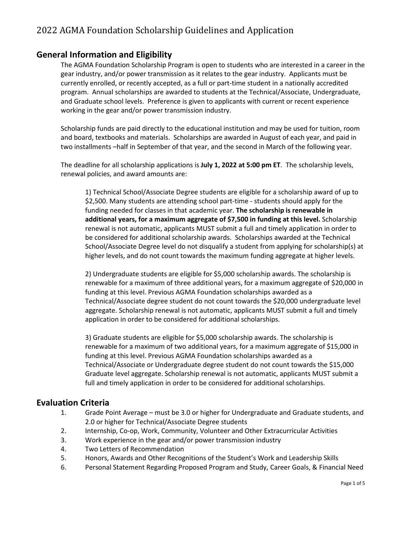# 2022 AGMA Foundation Scholarship Guidelines and Application

## **General Information and Eligibility**

The AGMA Foundation Scholarship Program is open to students who are interested in a career in the gear industry, and/or power transmission as it relates to the gear industry. Applicants must be currently enrolled, or recently accepted, as a full or part-time student in a nationally accredited program. Annual scholarships are awarded to students at the Technical/Associate, Undergraduate, and Graduate school levels. Preference is given to applicants with current or recent experience working in the gear and/or power transmission industry.

Scholarship funds are paid directly to the educational institution and may be used for tuition, room and board, textbooks and materials. Scholarships are awarded in August of each year, and paid in two installments –half in September of that year, and the second in March of the following year.

The deadline for all scholarship applications is **July 1, 2022 at 5:00 pm ET**. The scholarship levels, renewal policies, and award amounts are:

1) Technical School/Associate Degree students are eligible for a scholarship award of up to \$2,500. Many students are attending school part-time - students should apply for the funding needed for classes in that academic year. **The scholarship is renewable in additional years, for a maximum aggregate of \$7,500 in funding at this level.** Scholarship renewal is not automatic, applicants MUST submit a full and timely application in order to be considered for additional scholarship awards. Scholarships awarded at the Technical School/Associate Degree level do not disqualify a student from applying for scholarship(s) at higher levels, and do not count towards the maximum funding aggregate at higher levels.

2) Undergraduate students are eligible for \$5,000 scholarship awards. The scholarship is renewable for a maximum of three additional years, for a maximum aggregate of \$20,000 in funding at this level. Previous AGMA Foundation scholarships awarded as a Technical/Associate degree student do not count towards the \$20,000 undergraduate level aggregate. Scholarship renewal is not automatic, applicants MUST submit a full and timely application in order to be considered for additional scholarships.

3) Graduate students are eligible for \$5,000 scholarship awards. The scholarship is renewable for a maximum of two additional years, for a maximum aggregate of \$15,000 in funding at this level. Previous AGMA Foundation scholarships awarded as a Technical/Associate or Undergraduate degree student do not count towards the \$15,000 Graduate level aggregate. Scholarship renewal is not automatic, applicants MUST submit a full and timely application in order to be considered for additional scholarships.

#### **Evaluation Criteria**

- 1. Grade Point Average must be 3.0 or higher for Undergraduate and Graduate students, and 2.0 or higher for Technical/Associate Degree students
- 2. Internship, Co-op, Work, Community, Volunteer and Other Extracurricular Activities
- 3. Work experience in the gear and/or power transmission industry
- 4. Two Letters of Recommendation
- 5. Honors, Awards and Other Recognitions of the Student's Work and Leadership Skills
- 6. Personal Statement Regarding Proposed Program and Study, Career Goals, & Financial Need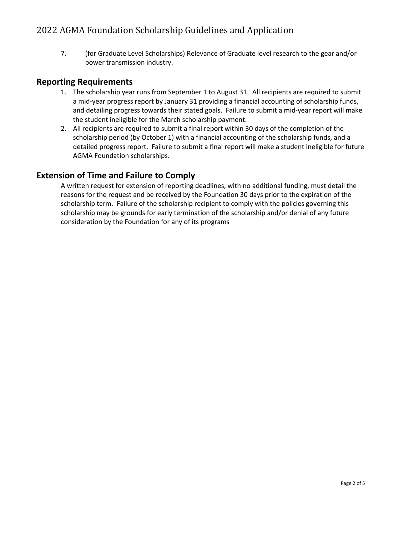7. (for Graduate Level Scholarships) Relevance of Graduate level research to the gear and/or power transmission industry.

## **Reporting Requirements**

- 1. The scholarship year runs from September 1 to August 31. All recipients are required to submit a mid-year progress report by January 31 providing a financial accounting of scholarship funds, and detailing progress towards their stated goals. Failure to submit a mid-year report will make the student ineligible for the March scholarship payment.
- 2. All recipients are required to submit a final report within 30 days of the completion of the scholarship period (by October 1) with a financial accounting of the scholarship funds, and a detailed progress report. Failure to submit a final report will make a student ineligible for future AGMA Foundation scholarships.

## **Extension of Time and Failure to Comply**

A written request for extension of reporting deadlines, with no additional funding, must detail the reasons for the request and be received by the Foundation 30 days prior to the expiration of the scholarship term. Failure of the scholarship recipient to comply with the policies governing this scholarship may be grounds for early termination of the scholarship and/or denial of any future consideration by the Foundation for any of its programs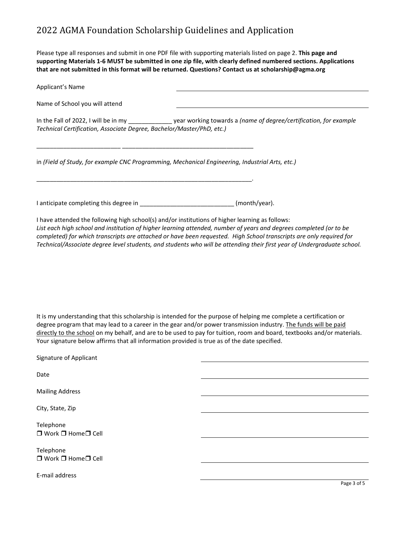# 2022 AGMA Foundation Scholarship Guidelines and Application

Please type all responses and submit in one PDF file with supporting materials listed on page 2. **This page and supporting Materials 1-6 MUST be submitted in one zip file, with clearly defined numbered sections. Applications that are not submitted in this format will be returned. Questions? Contact us at scholarship@agma.org** 

| Applicant's Name                                                                                                                                                                                                                                                                                                                                                                                                                                                        |               |
|-------------------------------------------------------------------------------------------------------------------------------------------------------------------------------------------------------------------------------------------------------------------------------------------------------------------------------------------------------------------------------------------------------------------------------------------------------------------------|---------------|
| Name of School you will attend                                                                                                                                                                                                                                                                                                                                                                                                                                          |               |
| In the Fall of 2022, I will be in my ______________ year working towards a (name of degree/certification, for example<br>Technical Certification, Associate Degree, Bachelor/Master/PhD, etc.)                                                                                                                                                                                                                                                                          |               |
| in (Field of Study, for example CNC Programming, Mechanical Engineering, Industrial Arts, etc.)                                                                                                                                                                                                                                                                                                                                                                         |               |
|                                                                                                                                                                                                                                                                                                                                                                                                                                                                         | (month/year). |
| I have attended the following high school(s) and/or institutions of higher learning as follows:<br>List each high school and institution of higher learning attended, number of years and degrees completed (or to be<br>completed) for which transcripts are attached or have been requested. High School transcripts are only required for<br>Technical/Associate degree level students, and students who will be attending their first year of Undergraduate school. |               |
| It is my understanding that this scholarship is intended for the purpose of helping me complete a certification or<br>degree program that may lead to a career in the gear and/or power transmission industry. The funds will be paid<br>directly to the school on my behalf, and are to be used to pay for tuition, room and board, textbooks and/or materials.<br>Your signature below affirms that all information provided is true as of the date specified.        |               |
| Signature of Applicant                                                                                                                                                                                                                                                                                                                                                                                                                                                  |               |
| Date                                                                                                                                                                                                                                                                                                                                                                                                                                                                    |               |
| <b>Mailing Address</b>                                                                                                                                                                                                                                                                                                                                                                                                                                                  |               |
| City, State, Zip                                                                                                                                                                                                                                                                                                                                                                                                                                                        |               |
| Telephone<br>□ Work □ Home□ Cell                                                                                                                                                                                                                                                                                                                                                                                                                                        |               |
| Telephone<br>□ Work □ Home□ Cell                                                                                                                                                                                                                                                                                                                                                                                                                                        |               |
| E-mail address                                                                                                                                                                                                                                                                                                                                                                                                                                                          |               |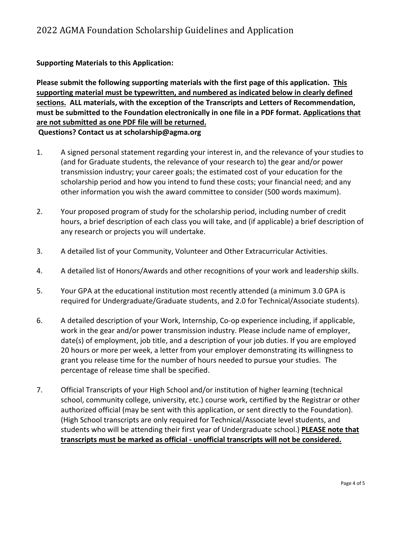#### **Supporting Materials to this Application:**

**Please submit the following supporting materials with the first page of this application. This supporting material must be typewritten, and numbered as indicated below in clearly defined sections. ALL materials, with the exception of the Transcripts and Letters of Recommendation, must be submitted to the Foundation electronically in one file in a PDF format. Applications that are not submitted as one PDF file will be returned. Questions? Contact us at scholarship@agma.org**

- 1. A signed personal statement regarding your interest in, and the relevance of your studies to (and for Graduate students, the relevance of your research to) the gear and/or power transmission industry; your career goals; the estimated cost of your education for the scholarship period and how you intend to fund these costs; your financial need; and any other information you wish the award committee to consider (500 words maximum).
- 2. Your proposed program of study for the scholarship period, including number of credit hours, a brief description of each class you will take, and (if applicable) a brief description of any research or projects you will undertake.
- 3. A detailed list of your Community, Volunteer and Other Extracurricular Activities.
- 4. A detailed list of Honors/Awards and other recognitions of your work and leadership skills.
- 5. Your GPA at the educational institution most recently attended (a minimum 3.0 GPA is required for Undergraduate/Graduate students, and 2.0 for Technical/Associate students).
- 6. A detailed description of your Work, Internship, Co-op experience including, if applicable, work in the gear and/or power transmission industry. Please include name of employer, date(s) of employment, job title, and a description of your job duties. If you are employed 20 hours or more per week, a letter from your employer demonstrating its willingness to grant you release time for the number of hours needed to pursue your studies. The percentage of release time shall be specified.
- 7. Official Transcripts of your High School and/or institution of higher learning (technical school, community college, university, etc.) course work, certified by the Registrar or other authorized official (may be sent with this application, or sent directly to the Foundation). (High School transcripts are only required for Technical/Associate level students, and students who will be attending their first year of Undergraduate school.) **PLEASE note that transcripts must be marked as official - unofficial transcripts will not be considered.**